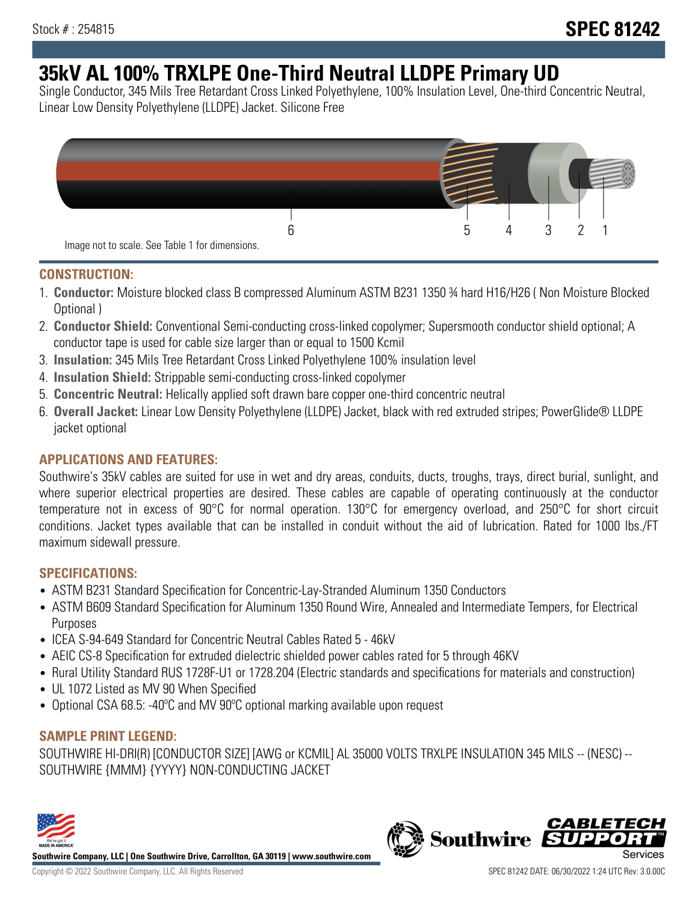# **35kV AL 100% TRXLPE One-Third Neutral LLDPE Primary UD**

Single Conductor, 345 Mils Tree Retardant Cross Linked Polyethylene, 100% Insulation Level, One-third Concentric Neutral, Linear Low Density Polyethylene (LLDPE) Jacket. Silicone Free



### **CONSTRUCTION:**

- 1. **Conductor:** Moisture blocked class B compressed Aluminum ASTM B231 1350 ¾ hard H16/H26 ( Non Moisture Blocked Optional )
- 2. **Conductor Shield:** Conventional Semi-conducting cross-linked copolymer; Supersmooth conductor shield optional; A conductor tape is used for cable size larger than or equal to 1500 Kcmil
- 3. **Insulation:** 345 Mils Tree Retardant Cross Linked Polyethylene 100% insulation level
- 4. **Insulation Shield:** Strippable semi-conducting cross-linked copolymer
- 5. **Concentric Neutral:** Helically applied soft drawn bare copper one-third concentric neutral
- 6. **Overall Jacket:** Linear Low Density Polyethylene (LLDPE) Jacket, black with red extruded stripes; PowerGlide® LLDPE jacket optional

## **APPLICATIONS AND FEATURES:**

Southwire's 35kV cables are suited for use in wet and dry areas, conduits, ducts, troughs, trays, direct burial, sunlight, and where superior electrical properties are desired. These cables are capable of operating continuously at the conductor temperature not in excess of 90°C for normal operation. 130°C for emergency overload, and 250°C for short circuit conditions. Jacket types available that can be installed in conduit without the aid of lubrication. Rated for 1000 lbs./FT maximum sidewall pressure.

## **SPECIFICATIONS:**

- ASTM B231 Standard Specification for Concentric-Lay-Stranded Aluminum 1350 Conductors
- ASTM B609 Standard Specification for Aluminum 1350 Round Wire, Annealed and Intermediate Tempers, for Electrical Purposes
- ICEA S-94-649 Standard for Concentric Neutral Cables Rated 5 46kV
- AEIC CS-8 Specification for extruded dielectric shielded power cables rated for 5 through 46KV
- Rural Utility Standard RUS 1728F-U1 or 1728.204 (Electric standards and specifications for materials and construction)
- UL 1072 Listed as MV 90 When Specified
- Optional CSA 68.5: -40ºC and MV 90ºC optional marking available upon request

## **SAMPLE PRINT LEGEND:**

SOUTHWIRE HI-DRI(R) [CONDUCTOR SIZE] [AWG or KCMIL] AL 35000 VOLTS TRXLPE INSULATION 345 MILS -- (NESC) -- SOUTHWIRE {MMM} {YYYY} NON-CONDUCTING JACKET



**Southwire Company, LLC | One Southwire Drive, Carrollton, GA 30119 | www.southwire.com**

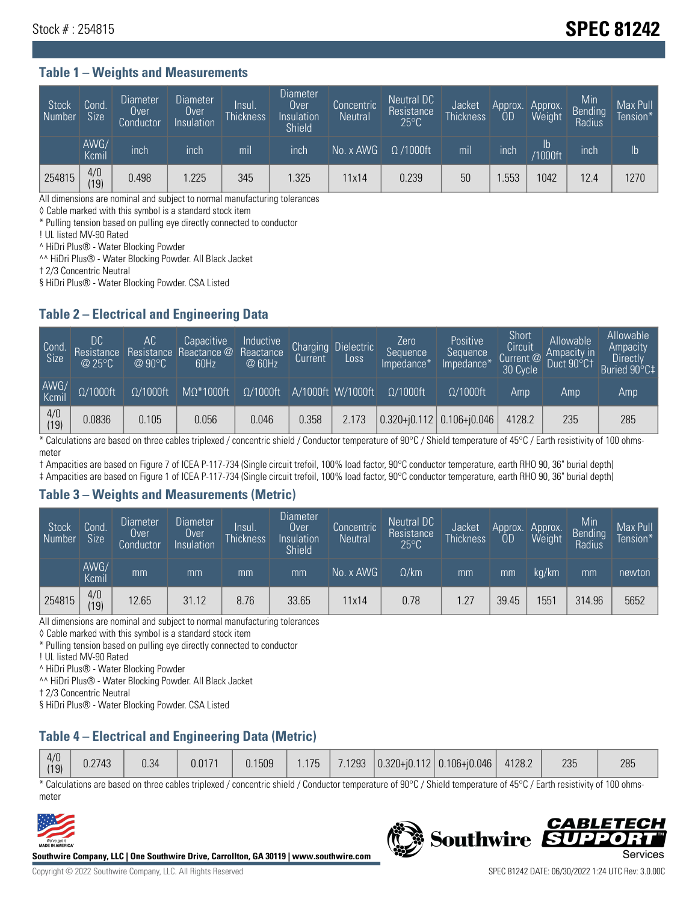## Stock # : 254815 **SPEC 81242**

#### **Table 1 – Weights and Measurements**

| Stock<br>Number | Cond<br>Size <sup>'</sup> | <b>Diameter</b><br><b>Over</b><br>Conductor | <b>Diameter</b><br>Over<br>Insulation | lnsul.<br><b>Thickness</b> | Diameter<br>Over<br>Insulation<br><b>Shield</b> | Concentric<br><b>Neutral</b> | Neutral DC<br>Resistance<br>$25^{\circ}$ C | Jacket<br><b>Thickness</b> | Approx.<br>OD | Approx.<br>Weight     | Min<br><b>Bending</b><br>Radius | Max Pull<br>Tension*' |
|-----------------|---------------------------|---------------------------------------------|---------------------------------------|----------------------------|-------------------------------------------------|------------------------------|--------------------------------------------|----------------------------|---------------|-----------------------|---------------------------------|-----------------------|
|                 | AWG/<br>Kcmil             | inch                                        | inch                                  | mil                        | inch                                            | No. x AWG                    | $\Omega$ /1000ft                           | mil                        | inch          | ID.<br><b>Y1000ft</b> | inch                            | I <sub>b</sub>        |
| 254815          | 4/0<br>(19)               | 0.498                                       | .225                                  | 345                        | .325                                            | 11x14                        | 0.239                                      | 50                         | .553          | 1042                  | 12.4                            | 1270                  |

All dimensions are nominal and subject to normal manufacturing tolerances

◊ Cable marked with this symbol is a standard stock item

\* Pulling tension based on pulling eye directly connected to conductor

! UL listed MV-90 Rated

^ HiDri Plus® - Water Blocking Powder

^^ HiDri Plus® - Water Blocking Powder. All Black Jacket

† 2/3 Concentric Neutral

§ HiDri Plus® - Water Blocking Powder. CSA Listed

#### **Table 2 – Electrical and Engineering Data**

| Cond.<br>Size         | 'DC.<br>Resistance<br>@25°C | АC<br>Resistance<br>$\varpi$ 90°C | Capacitive<br>Reactance @<br>60Hz | Inductive<br>Reactance<br>@ 60Hz | Charging<br>Current | Dielectric<br>Loss | Zero<br>Sequence<br>Impedance* | Positive<br>Sequence<br>Impedance <sup>+</sup> | Short<br>Circuit<br>Current <sup>@</sup><br>30 Cycle | Allowable<br>Ampacity in<br>Duct 90°C1 | Allowable<br>Ampacity<br>Directly<br>Buried 90°C‡ |
|-----------------------|-----------------------------|-----------------------------------|-----------------------------------|----------------------------------|---------------------|--------------------|--------------------------------|------------------------------------------------|------------------------------------------------------|----------------------------------------|---------------------------------------------------|
| AWG/<br>Kcmil         | $\Omega/1000$ ft            | $\Omega/1000$ ft                  | $M\Omega^*1000$ ft                | $\Omega/1000$ ft                 |                     | A/1000ft W/1000ft  | $\Omega/1000$ ft               | $\Omega$ /1000ft                               | Amp                                                  | Amp                                    | Amp                                               |
| $\frac{4}{0}$<br>(19) | 0.0836                      | 0.105                             | 0.056                             | 0.046                            | 0.358               | 2.173              |                                | $0.320 + 0.112$ 0.106+0.046                    | 4128.2                                               | 235                                    | 285                                               |

\* Calculations are based on three cables triplexed / concentric shield / Conductor temperature of 90°C / Shield temperature of 45°C / Earth resistivity of 100 ohmsmeter

† Ampacities are based on Figure 7 of ICEA P-117-734 (Single circuit trefoil, 100% load factor, 90°C conductor temperature, earth RHO 90, 36" burial depth)

‡ Ampacities are based on Figure 1 of ICEA P-117-734 (Single circuit trefoil, 100% load factor, 90°C conductor temperature, earth RHO 90, 36" burial depth)

#### **Table 3 – Weights and Measurements (Metric)**

| Stock<br>Number | Cond.<br>Size <sup>1</sup> | <b>Diameter</b><br><b>Over</b><br>Conductor | <b>Diameter</b><br><b>Over</b><br>Insulation | Insul.<br><b>Thickness</b> | <b>Diameter</b><br>Over<br>Insulation<br><b>Shield</b> | Concentric<br><b>Neutral</b> | Neutral DC<br>Resistance<br>$25^{\circ}$ C | Jacket<br><b>Thickness</b> | Approx.<br>OD | Approx.<br>Weight | Min<br>Bending<br>Radius | Max Pull<br>Tension* |
|-----------------|----------------------------|---------------------------------------------|----------------------------------------------|----------------------------|--------------------------------------------------------|------------------------------|--------------------------------------------|----------------------------|---------------|-------------------|--------------------------|----------------------|
|                 | AWG/<br>Kcmil              | mm                                          | mm                                           | mm                         | mm                                                     | No. x AWG                    | $\Omega$ /km                               | mm                         | mm            | ka/km             | mm                       | newton               |
| 254815          | 4/0<br>(19)                | 12.65                                       | 31.12                                        | 8.76                       | 33.65                                                  | 11x14                        | 0.78                                       | 1.27                       | 39.45         | 1551              | 314.96                   | 5652                 |

All dimensions are nominal and subject to normal manufacturing tolerances

◊ Cable marked with this symbol is a standard stock item

\* Pulling tension based on pulling eye directly connected to conductor

! UL listed MV-90 Rated

^ HiDri Plus® - Water Blocking Powder

^^ HiDri Plus® - Water Blocking Powder. All Black Jacket

† 2/3 Concentric Neutral

§ HiDri Plus® - Water Blocking Powder. CSA Listed

## **Table 4 – Electrical and Engineering Data (Metric)**

| 4/0<br>(19) | 0.2743 | 0.34 | 0.0171 | 0.1509 | .175 | 7.1293 | $ 0.320 + i0.112 0.106 + i0.046 $ | 4128.2 | 235 | 285 |
|-------------|--------|------|--------|--------|------|--------|-----------------------------------|--------|-----|-----|
|             |        |      |        |        |      |        |                                   |        |     |     |

\* Calculations are based on three cables triplexed / concentric shield / Conductor temperature of 90°C / Shield temperature of 45°C / Earth resistivity of 100 ohmsmeter



**Southwire Company, LLC | One Southwire Drive, Carrollton, GA 30119 | www.southwire.com**